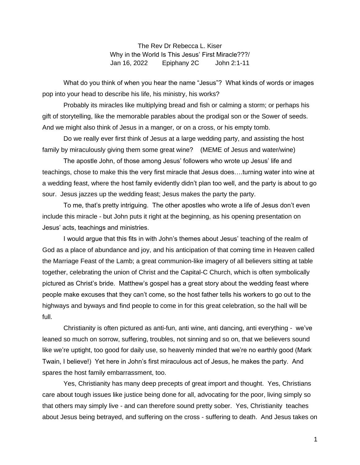The Rev Dr Rebecca L. Kiser Why in the World Is This Jesus' First Miracle???/ Jan 16, 2022 Epiphany 2C John 2:1-11

What do you think of when you hear the name "Jesus"? What kinds of words or images pop into your head to describe his life, his ministry, his works?

Probably its miracles like multiplying bread and fish or calming a storm; or perhaps his gift of storytelling, like the memorable parables about the prodigal son or the Sower of seeds. And we might also think of Jesus in a manger, or on a cross, or his empty tomb.

Do we really ever first think of Jesus at a large wedding party, and assisting the host family by miraculously giving them some great wine? (MEME of Jesus and water/wine)

The apostle John, of those among Jesus' followers who wrote up Jesus' life and teachings, chose to make this the very first miracle that Jesus does….turning water into wine at a wedding feast, where the host family evidently didn't plan too well, and the party is about to go sour. Jesus jazzes up the wedding feast; Jesus makes the party the party.

To me, that's pretty intriguing. The other apostles who wrote a life of Jesus don't even include this miracle - but John puts it right at the beginning, as his opening presentation on Jesus' acts, teachings and ministries.

I would argue that this fits in with John's themes about Jesus' teaching of the realm of God as a place of abundance and joy, and his anticipation of that coming time in Heaven called the Marriage Feast of the Lamb; a great communion-like imagery of all believers sitting at table together, celebrating the union of Christ and the Capital-C Church, which is often symbolically pictured as Christ's bride. Matthew's gospel has a great story about the wedding feast where people make excuses that they can't come, so the host father tells his workers to go out to the highways and byways and find people to come in for this great celebration, so the hall will be full.

Christianity is often pictured as anti-fun, anti wine, anti dancing, anti everything - we've leaned so much on sorrow, suffering, troubles, not sinning and so on, that we believers sound like we're uptight, too good for daily use, so heavenly minded that we're no earthly good (Mark Twain, I believe!) Yet here in John's first miraculous act of Jesus, he makes the party. And spares the host family embarrassment, too.

Yes, Christianity has many deep precepts of great import and thought. Yes, Christians care about tough issues like justice being done for all, advocating for the poor, living simply so that others may simply live - and can therefore sound pretty sober. Yes, Christianity teaches about Jesus being betrayed, and suffering on the cross - suffering to death. And Jesus takes on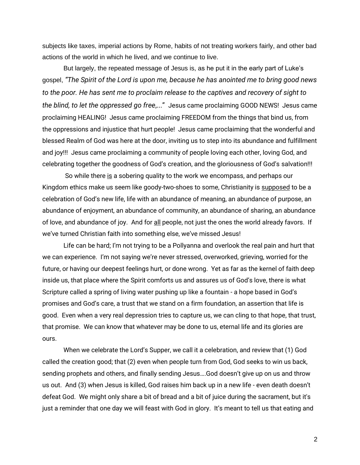subjects like taxes, imperial actions by Rome, habits of not treating workers fairly, and other bad actions of the world in which he lived, and we continue to live.

But largely, the repeated message of Jesus is, as he put it in the early part of Luke's gospel, *"The Spirit of the Lord is upon me, because he has anointed me to bring good news to the poor. He has sent me to proclaim release to the captives and recovery of sight to the blind, to let the oppressed go free*,..." Jesus came proclaiming GOOD NEWS! Jesus came proclaiming HEALING! Jesus came proclaiming FREEDOM from the things that bind us, from the oppressions and injustice that hurt people! Jesus came proclaiming that the wonderful and blessed Realm of God was here at the door, inviting us to step into its abundance and fulfillment and joy!!! Jesus came proclaiming a community of people loving each other, loving God, and celebrating together the goodness of God's creation, and the gloriousness of God's salvation!!!

So while there is a sobering quality to the work we encompass, and perhaps our Kingdom ethics make us seem like goody-two-shoes to some, Christianity is supposed to be a celebration of God's new life, life with an abundance of meaning, an abundance of purpose, an abundance of enjoyment, an abundance of community, an abundance of sharing, an abundance of love, and abundance of joy. And for all people, not just the ones the world already favors. If we've turned Christian faith into something else, we've missed Jesus!

Life can be hard; I'm not trying to be a Pollyanna and overlook the real pain and hurt that we can experience. I'm not saying we're never stressed, overworked, grieving, worried for the future, or having our deepest feelings hurt, or done wrong. Yet as far as the kernel of faith deep inside us, that place where the Spirit comforts us and assures us of God's love, there is what Scripture called a spring of living water pushing up like a fountain - a hope based in God's promises and God's care, a trust that we stand on a firm foundation, an assertion that life is good. Even when a very real depression tries to capture us, we can cling to that hope, that trust, that promise. We can know that whatever may be done to us, eternal life and its glories are ours.

When we celebrate the Lord's Supper, we call it a celebration, and review that (1) God called the creation good; that (2) even when people turn from God, God seeks to win us back, sending prophets and others, and finally sending Jesus….God doesn't give up on us and throw us out. And (3) when Jesus is killed, God raises him back up in a new life - even death doesn't defeat God. We might only share a bit of bread and a bit of juice during the sacrament, but it's just a reminder that one day we will feast with God in glory. It's meant to tell us that eating and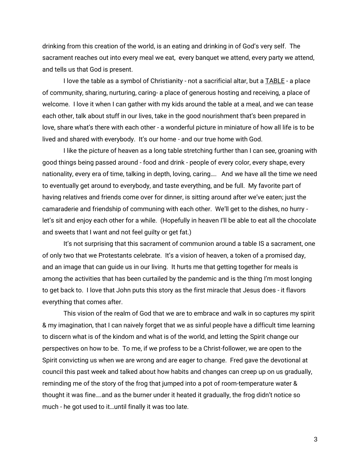drinking from this creation of the world, is an eating and drinking in of God's very self. The sacrament reaches out into every meal we eat, every banquet we attend, every party we attend, and tells us that God is present.

I love the table as a symbol of Christianity - not a sacrificial altar, but a TABLE - a place of community, sharing, nurturing, caring- a place of generous hosting and receiving, a place of welcome. I love it when I can gather with my kids around the table at a meal, and we can tease each other, talk about stuff in our lives, take in the good nourishment that's been prepared in love, share what's there with each other - a wonderful picture in miniature of how all life is to be lived and shared with everybody. It's our home - and our true home with God.

I like the picture of heaven as a long table stretching further than I can see, groaning with good things being passed around - food and drink - people of every color, every shape, every nationality, every era of time, talking in depth, loving, caring…. And we have all the time we need to eventually get around to everybody, and taste everything, and be full. My favorite part of having relatives and friends come over for dinner, is sitting around after we've eaten; just the camaraderie and friendship of communing with each other. We'll get to the dishes, no hurry let's sit and enjoy each other for a while. (Hopefully in heaven I'll be able to eat all the chocolate and sweets that I want and not feel guilty or get fat.)

It's not surprising that this sacrament of communion around a table IS a sacrament, one of only two that we Protestants celebrate. It's a vision of heaven, a token of a promised day, and an image that can guide us in our living. It hurts me that getting together for meals is among the activities that has been curtailed by the pandemic and is the thing I'm most longing to get back to. I love that John puts this story as the first miracle that Jesus does - it flavors everything that comes after.

This vision of the realm of God that we are to embrace and walk in so captures my spirit & my imagination, that I can naively forget that we as sinful people have a difficult time learning to discern what is of the kindom and what is of the world, and letting the Spirit change our perspectives on how to be. To me, if we profess to be a Christ-follower, we are open to the Spirit convicting us when we are wrong and are eager to change. Fred gave the devotional at council this past week and talked about how habits and changes can creep up on us gradually, reminding me of the story of the frog that jumped into a pot of room-temperature water & thought it was fine….and as the burner under it heated it gradually, the frog didn't notice so much - he got used to it…until finally it was too late.